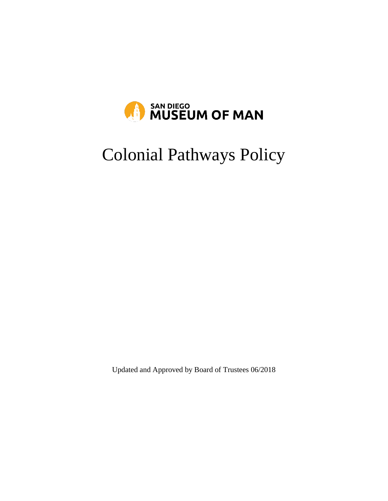

# Colonial Pathways Policy

Updated and Approved by Board of Trustees 06/2018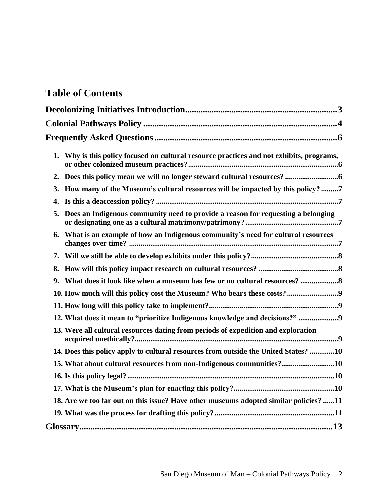# **Table of Contents**

| 1. | Why is this policy focused on cultural resource practices and not exhibits, programs, |
|----|---------------------------------------------------------------------------------------|
| 2. |                                                                                       |
| 3. | How many of the Museum's cultural resources will be impacted by this policy?7         |
| 4. |                                                                                       |
| 5. | Does an Indigenous community need to provide a reason for requesting a belonging      |
| 6. | What is an example of how an Indigenous community's need for cultural resources       |
| 7. |                                                                                       |
| 8. |                                                                                       |
| 9. | What does it look like when a museum has few or no cultural resources?                |
|    | 10. How much will this policy cost the Museum? Who bears these costs?9                |
|    |                                                                                       |
|    | 12. What does it mean to "prioritize Indigenous knowledge and decisions?" 9           |
|    | 13. Were all cultural resources dating from periods of expedition and exploration     |
|    | 14. Does this policy apply to cultural resources from outside the United States? 10   |
|    | 15. What about cultural resources from non-Indigenous communities?10                  |
|    |                                                                                       |
|    |                                                                                       |
|    | 18. Are we too far out on this issue? Have other museums adopted similar policies? 11 |
|    |                                                                                       |
|    |                                                                                       |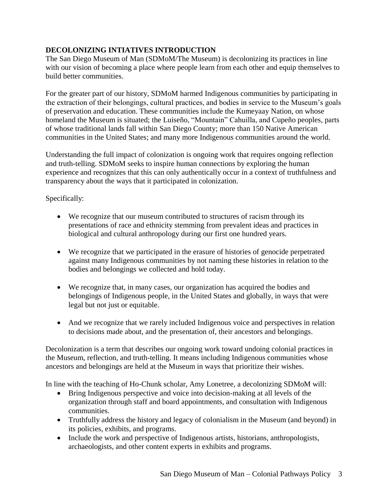# **DECOLONIZING INTIATIVES INTRODUCTION**

The San Diego Museum of Man (SDMoM/The Museum) is decolonizing its practices in line with our vision of becoming a place where people learn from each other and equip themselves to build better communities.

For the greater part of our history, SDMoM harmed Indigenous communities by participating in the extraction of their belongings, cultural practices, and bodies in service to the Museum's goals of preservation and education. These communities include the Kumeyaay Nation, on whose homeland the Museum is situated; the Luiseño, "Mountain" Cahuilla, and Cupeño peoples, parts of whose traditional lands fall within San Diego County; more than 150 Native American communities in the United States; and many more Indigenous communities around the world.

Understanding the full impact of colonization is ongoing work that requires ongoing reflection and truth-telling. SDMoM seeks to inspire human connections by exploring the human experience and recognizes that this can only authentically occur in a context of truthfulness and transparency about the ways that it participated in colonization.

Specifically:

- We recognize that our museum contributed to structures of racism through its presentations of race and ethnicity stemming from prevalent ideas and practices in biological and cultural anthropology during our first one hundred years.
- We recognize that we participated in the erasure of histories of genocide perpetrated against many Indigenous communities by not naming these histories in relation to the bodies and belongings we collected and hold today.
- We recognize that, in many cases, our organization has acquired the bodies and belongings of Indigenous people, in the United States and globally, in ways that were legal but not just or equitable.
- And we recognize that we rarely included Indigenous voice and perspectives in relation to decisions made about, and the presentation of, their ancestors and belongings.

Decolonization is a term that describes our ongoing work toward undoing colonial practices in the Museum, reflection, and truth-telling. It means including Indigenous communities whose ancestors and belongings are held at the Museum in ways that prioritize their wishes.

In line with the teaching of Ho-Chunk scholar, Amy Lonetree, a decolonizing SDMoM will:

- Bring Indigenous perspective and voice into decision-making at all levels of the organization through staff and board appointments, and consultation with Indigenous communities.
- Truthfully address the history and legacy of colonialism in the Museum (and beyond) in its policies, exhibits, and programs.
- Include the work and perspective of Indigenous artists, historians, anthropologists, archaeologists, and other content experts in exhibits and programs.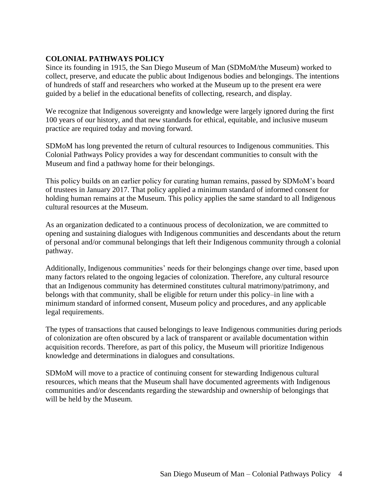# **COLONIAL PATHWAYS POLICY**

Since its founding in 1915, the San Diego Museum of Man (SDMoM/the Museum) worked to collect, preserve, and educate the public about Indigenous bodies and belongings. The intentions of hundreds of staff and researchers who worked at the Museum up to the present era were guided by a belief in the educational benefits of collecting, research, and display.

We recognize that Indigenous sovereignty and knowledge were largely ignored during the first 100 years of our history, and that new standards for ethical, equitable, and inclusive museum practice are required today and moving forward.

SDMoM has long prevented the return of cultural resources to Indigenous communities. This Colonial Pathways Policy provides a way for descendant communities to consult with the Museum and find a pathway home for their belongings.

This policy builds on an earlier policy for curating human remains, passed by SDMoM's board of trustees in January 2017. That policy applied a minimum standard of informed consent for holding human remains at the Museum. This policy applies the same standard to all Indigenous cultural resources at the Museum.

As an organization dedicated to a continuous process of decolonization, we are committed to opening and sustaining dialogues with Indigenous communities and descendants about the return of personal and/or communal belongings that left their Indigenous community through a colonial pathway.

Additionally, Indigenous communities' needs for their belongings change over time, based upon many factors related to the ongoing legacies of colonization. Therefore, any cultural resource that an Indigenous community has determined constitutes cultural matrimony/patrimony, and belongs with that community, shall be eligible for return under this policy–in line with a minimum standard of informed consent, Museum policy and procedures, and any applicable legal requirements.

The types of transactions that caused belongings to leave Indigenous communities during periods of colonization are often obscured by a lack of transparent or available documentation within acquisition records. Therefore, as part of this policy, the Museum will prioritize Indigenous knowledge and determinations in dialogues and consultations.

SDMoM will move to a practice of continuing consent for stewarding Indigenous cultural resources, which means that the Museum shall have documented agreements with Indigenous communities and/or descendants regarding the stewardship and ownership of belongings that will be held by the Museum.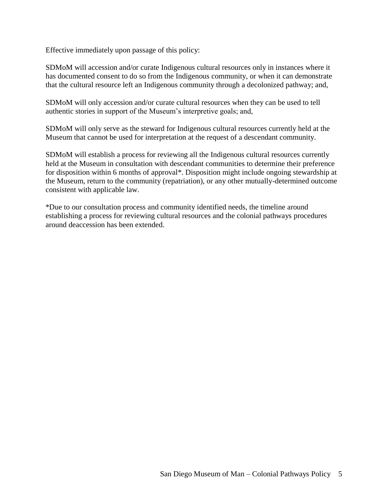Effective immediately upon passage of this policy:

SDMoM will accession and/or curate Indigenous cultural resources only in instances where it has documented consent to do so from the Indigenous community, or when it can demonstrate that the cultural resource left an Indigenous community through a decolonized pathway; and,

SDMoM will only accession and/or curate cultural resources when they can be used to tell authentic stories in support of the Museum's interpretive goals; and,

SDMoM will only serve as the steward for Indigenous cultural resources currently held at the Museum that cannot be used for interpretation at the request of a descendant community.

SDMoM will establish a process for reviewing all the Indigenous cultural resources currently held at the Museum in consultation with descendant communities to determine their preference for disposition within 6 months of approval\*. Disposition might include ongoing stewardship at the Museum, return to the community (repatriation), or any other mutually-determined outcome consistent with applicable law.

\*Due to our consultation process and community identified needs, the timeline around establishing a process for reviewing cultural resources and the colonial pathways procedures around deaccession has been extended.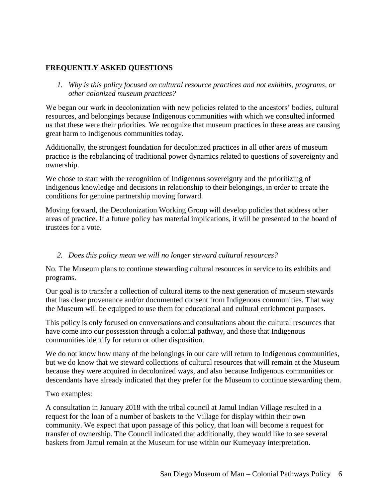# **FREQUENTLY ASKED QUESTIONS**

*1. Why is this policy focused on cultural resource practices and not exhibits, programs, or other colonized museum practices?*

We began our work in decolonization with new policies related to the ancestors' bodies, cultural resources, and belongings because Indigenous communities with which we consulted informed us that these were their priorities. We recognize that museum practices in these areas are causing great harm to Indigenous communities today.

Additionally, the strongest foundation for decolonized practices in all other areas of museum practice is the rebalancing of traditional power dynamics related to questions of sovereignty and ownership.

We chose to start with the recognition of Indigenous sovereignty and the prioritizing of Indigenous knowledge and decisions in relationship to their belongings, in order to create the conditions for genuine partnership moving forward.

Moving forward, the Decolonization Working Group will develop policies that address other areas of practice. If a future policy has material implications, it will be presented to the board of trustees for a vote.

#### *2. Does this policy mean we will no longer steward cultural resources?*

No. The Museum plans to continue stewarding cultural resources in service to its exhibits and programs.

Our goal is to transfer a collection of cultural items to the next generation of museum stewards that has clear provenance and/or documented consent from Indigenous communities. That way the Museum will be equipped to use them for educational and cultural enrichment purposes.

This policy is only focused on conversations and consultations about the cultural resources that have come into our possession through a colonial pathway, and those that Indigenous communities identify for return or other disposition.

We do not know how many of the belongings in our care will return to Indigenous communities, but we do know that we steward collections of cultural resources that will remain at the Museum because they were acquired in decolonized ways, and also because Indigenous communities or descendants have already indicated that they prefer for the Museum to continue stewarding them.

#### Two examples:

A consultation in January 2018 with the tribal council at Jamul Indian Village resulted in a request for the loan of a number of baskets to the Village for display within their own community. We expect that upon passage of this policy, that loan will become a request for transfer of ownership. The Council indicated that additionally, they would like to see several baskets from Jamul remain at the Museum for use within our Kumeyaay interpretation.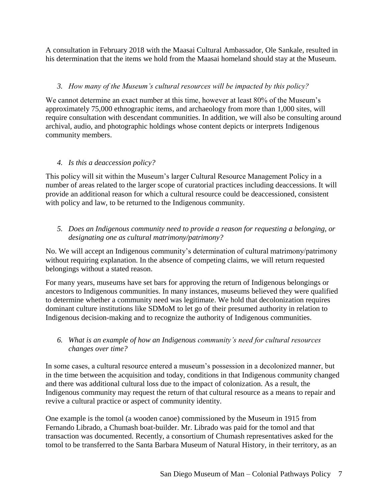A consultation in February 2018 with the Maasai Cultural Ambassador, Ole Sankale, resulted in his determination that the items we hold from the Maasai homeland should stay at the Museum.

#### *3. How many of the Museum's cultural resources will be impacted by this policy?*

We cannot determine an exact number at this time, however at least 80% of the Museum's approximately 75,000 ethnographic items, and archaeology from more than 1,000 sites, will require consultation with descendant communities. In addition, we will also be consulting around archival, audio, and photographic holdings whose content depicts or interprets Indigenous community members.

# *4. Is this a deaccession policy?*

This policy will sit within the Museum's larger Cultural Resource Management Policy in a number of areas related to the larger scope of curatorial practices including deaccessions. It will provide an additional reason for which a cultural resource could be deaccessioned, consistent with policy and law, to be returned to the Indigenous community.

#### *5. Does an Indigenous community need to provide a reason for requesting a belonging, or designating one as cultural matrimony/patrimony?*

No. We will accept an Indigenous community's determination of cultural matrimony/patrimony without requiring explanation. In the absence of competing claims, we will return requested belongings without a stated reason.

For many years, museums have set bars for approving the return of Indigenous belongings or ancestors to Indigenous communities. In many instances, museums believed they were qualified to determine whether a community need was legitimate. We hold that decolonization requires dominant culture institutions like SDMoM to let go of their presumed authority in relation to Indigenous decision-making and to recognize the authority of Indigenous communities.

#### *6. What is an example of how an Indigenous community's need for cultural resources changes over time?*

In some cases, a cultural resource entered a museum's possession in a decolonized manner, but in the time between the acquisition and today, conditions in that Indigenous community changed and there was additional cultural loss due to the impact of colonization. As a result, the Indigenous community may request the return of that cultural resource as a means to repair and revive a cultural practice or aspect of community identity.

One example is the tomol (a wooden canoe) commissioned by the Museum in 1915 from Fernando Librado, a Chumash boat-builder. Mr. Librado was paid for the tomol and that transaction was documented. Recently, a consortium of Chumash representatives asked for the tomol to be transferred to the Santa Barbara Museum of Natural History, in their territory, as an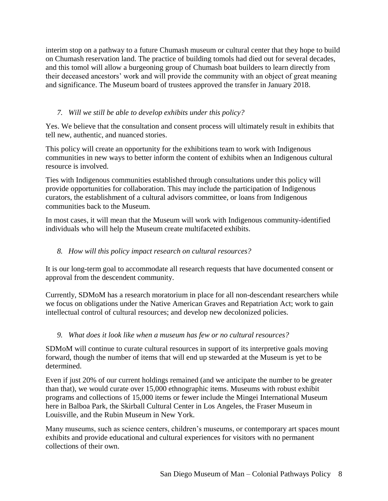interim stop on a pathway to a future Chumash museum or cultural center that they hope to build on Chumash reservation land. The practice of building tomols had died out for several decades, and this tomol will allow a burgeoning group of Chumash boat builders to learn directly from their deceased ancestors' work and will provide the community with an object of great meaning and significance. The Museum board of trustees approved the transfer in January 2018.

# *7. Will we still be able to develop exhibits under this policy?*

Yes. We believe that the consultation and consent process will ultimately result in exhibits that tell new, authentic, and nuanced stories.

This policy will create an opportunity for the exhibitions team to work with Indigenous communities in new ways to better inform the content of exhibits when an Indigenous cultural resource is involved.

Ties with Indigenous communities established through consultations under this policy will provide opportunities for collaboration. This may include the participation of Indigenous curators, the establishment of a cultural advisors committee, or loans from Indigenous communities back to the Museum.

In most cases, it will mean that the Museum will work with Indigenous community-identified individuals who will help the Museum create multifaceted exhibits.

# *8. How will this policy impact research on cultural resources?*

It is our long-term goal to accommodate all research requests that have documented consent or approval from the descendent community.

Currently, SDMoM has a research moratorium in place for all non-descendant researchers while we focus on obligations under the Native American Graves and Repatriation Act; work to gain intellectual control of cultural resources; and develop new decolonized policies.

#### *9. What does it look like when a museum has few or no cultural resources?*

SDMoM will continue to curate cultural resources in support of its interpretive goals moving forward, though the number of items that will end up stewarded at the Museum is yet to be determined.

Even if just 20% of our current holdings remained (and we anticipate the number to be greater than that), we would curate over 15,000 ethnographic items. Museums with robust exhibit programs and collections of 15,000 items or fewer include the Mingei International Museum here in Balboa Park, the Skirball Cultural Center in Los Angeles, the Fraser Museum in Louisville, and the Rubin Museum in New York.

Many museums, such as science centers, children's museums, or contemporary art spaces mount exhibits and provide educational and cultural experiences for visitors with no permanent collections of their own.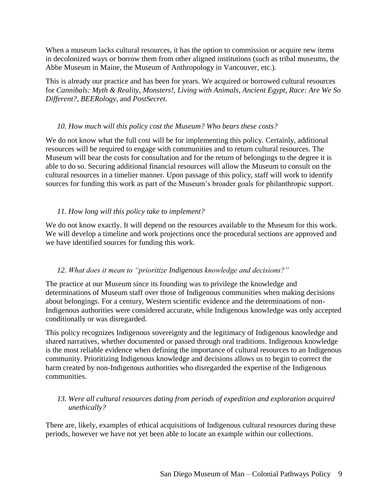When a museum lacks cultural resources, it has the option to commission or acquire new items in decolonized ways or borrow them from other aligned institutions (such as tribal museums, the Abbe Museum in Maine, the Museum of Anthropology in Vancouver, etc.).

This is already our practice and has been for years. We acquired or borrowed cultural resources for *Cannibals: Myth & Reality*, *Monsters!*, *Living with Animals*, *Ancient Egypt*, *Race: Are We So Different?*, *BEERology*, and *PostSecret*.

#### *10. How much will this policy cost the Museum? Who bears these costs?*

We do not know what the full cost will be for implementing this policy. Certainly, additional resources will be required to engage with communities and to return cultural resources. The Museum will bear the costs for consultation and for the return of belongings to the degree it is able to do so. Securing additional financial resources will allow the Museum to consult on the cultural resources in a timelier manner. Upon passage of this policy, staff will work to identify sources for funding this work as part of the Museum's broader goals for philanthropic support.

#### *11. How long will this policy take to implement?*

We do not know exactly. It will depend on the resources available to the Museum for this work. We will develop a timeline and work projections once the procedural sections are approved and we have identified sources for funding this work.

#### *12. What does it mean to "prioritize Indigenous knowledge and decisions?"*

The practice at our Museum since its founding was to privilege the knowledge and determinations of Museum staff over those of Indigenous communities when making decisions about belongings. For a century, Western scientific evidence and the determinations of non-Indigenous authorities were considered accurate, while Indigenous knowledge was only accepted conditionally or was disregarded.

This policy recognizes Indigenous sovereignty and the legitimacy of Indigenous knowledge and shared narratives, whether documented or passed through oral traditions. Indigenous knowledge is the most reliable evidence when defining the importance of cultural resources to an Indigenous community. Prioritizing Indigenous knowledge and decisions allows us to begin to correct the harm created by non-Indigenous authorities who disregarded the expertise of the Indigenous communities.

#### *13. Were all cultural resources dating from periods of expedition and exploration acquired unethically?*

There are, likely, examples of ethical acquisitions of Indigenous cultural resources during these periods, however we have not yet been able to locate an example within our collections.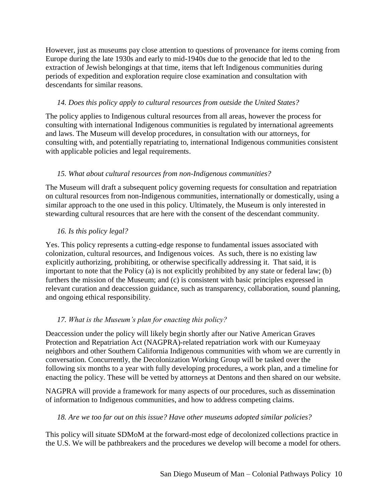However, just as museums pay close attention to questions of provenance for items coming from Europe during the late 1930s and early to mid-1940s due to the genocide that led to the extraction of Jewish belongings at that time, items that left Indigenous communities during periods of expedition and exploration require close examination and consultation with descendants for similar reasons.

#### *14. Does this policy apply to cultural resources from outside the United States?*

The policy applies to Indigenous cultural resources from all areas, however the process for consulting with international Indigenous communities is regulated by international agreements and laws. The Museum will develop procedures, in consultation with our attorneys, for consulting with, and potentially repatriating to, international Indigenous communities consistent with applicable policies and legal requirements.

# *15. What about cultural resources from non-Indigenous communities?*

The Museum will draft a subsequent policy governing requests for consultation and repatriation on cultural resources from non-Indigenous communities, internationally or domestically, using a similar approach to the one used in this policy. Ultimately, the Museum is only interested in stewarding cultural resources that are here with the consent of the descendant community.

# *16. Is this policy legal?*

Yes. This policy represents a cutting-edge response to fundamental issues associated with colonization, cultural resources, and Indigenous voices. As such, there is no existing law explicitly authorizing, prohibiting, or otherwise specifically addressing it. That said, it is important to note that the Policy (a) is not explicitly prohibited by any state or federal law; (b) furthers the mission of the Museum; and (c) is consistent with basic principles expressed in relevant curation and deaccession guidance, such as transparency, collaboration, sound planning, and ongoing ethical responsibility.

# *17. What is the Museum's plan for enacting this policy?*

Deaccession under the policy will likely begin shortly after our Native American Graves Protection and Repatriation Act (NAGPRA)-related repatriation work with our Kumeyaay neighbors and other Southern California Indigenous communities with whom we are currently in conversation. Concurrently, the Decolonization Working Group will be tasked over the following six months to a year with fully developing procedures, a work plan, and a timeline for enacting the policy. These will be vetted by attorneys at Dentons and then shared on our website.

NAGPRA will provide a framework for many aspects of our procedures, such as dissemination of information to Indigenous communities, and how to address competing claims.

#### *18. Are we too far out on this issue? Have other museums adopted similar policies?*

This policy will situate SDMoM at the forward-most edge of decolonized collections practice in the U.S. We will be pathbreakers and the procedures we develop will become a model for others.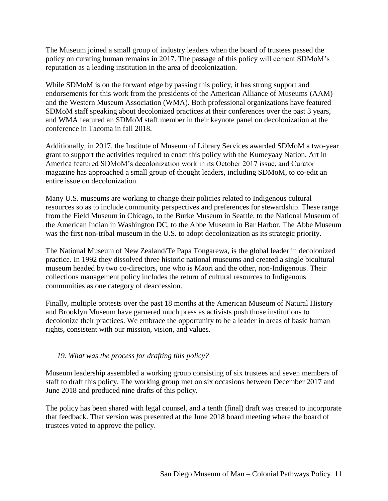The Museum joined a small group of industry leaders when the board of trustees passed the policy on curating human remains in 2017. The passage of this policy will cement SDMoM's reputation as a leading institution in the area of decolonization.

While SDMoM is on the forward edge by passing this policy, it has strong support and endorsements for this work from the presidents of the American Alliance of Museums (AAM) and the Western Museum Association (WMA). Both professional organizations have featured SDMoM staff speaking about decolonized practices at their conferences over the past 3 years, and WMA featured an SDMoM staff member in their keynote panel on decolonization at the conference in Tacoma in fall 2018.

Additionally, in 2017, the Institute of Museum of Library Services awarded SDMoM a two-year grant to support the activities required to enact this policy with the Kumeyaay Nation. Art in America featured SDMoM's decolonization work in its October 2017 issue, and Curator magazine has approached a small group of thought leaders, including SDMoM, to co-edit an entire issue on decolonization.

Many U.S. museums are working to change their policies related to Indigenous cultural resources so as to include community perspectives and preferences for stewardship. These range from the Field Museum in Chicago, to the Burke Museum in Seattle, to the National Museum of the American Indian in Washington DC, to the Abbe Museum in Bar Harbor. The Abbe Museum was the first non-tribal museum in the U.S. to adopt decolonization as its strategic priority.

The National Museum of New Zealand/Te Papa Tongarewa, is the global leader in decolonized practice. In 1992 they dissolved three historic national museums and created a single bicultural museum headed by two co-directors, one who is Maori and the other, non-Indigenous. Their collections management policy includes the return of cultural resources to Indigenous communities as one category of deaccession.

Finally, multiple protests over the past 18 months at the American Museum of Natural History and Brooklyn Museum have garnered much press as activists push those institutions to decolonize their practices. We embrace the opportunity to be a leader in areas of basic human rights, consistent with our mission, vision, and values.

#### *19. What was the process for drafting this policy?*

Museum leadership assembled a working group consisting of six trustees and seven members of staff to draft this policy. The working group met on six occasions between December 2017 and June 2018 and produced nine drafts of this policy.

The policy has been shared with legal counsel, and a tenth (final) draft was created to incorporate that feedback. That version was presented at the June 2018 board meeting where the board of trustees voted to approve the policy.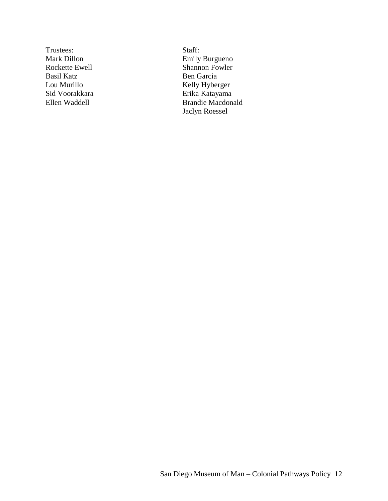Trustees: Staff: Basil Katz Ben Garcia

Mark Dillon **Emily Burgueno** Rockette Ewell Shannon Fowler Lou Murillo Kelly Hyberger Erika Katayama Ellen Waddell Brandie Macdonald Jaclyn Roessel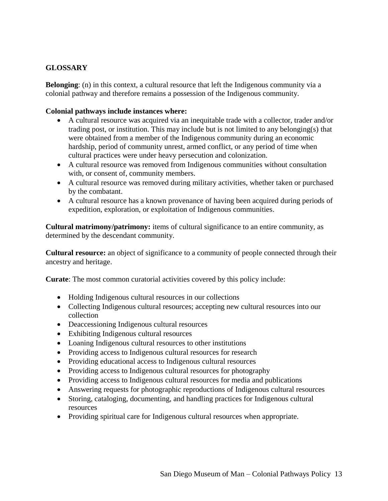# **GLOSSARY**

**Belonging**: (n) in this context, a cultural resource that left the Indigenous community via a colonial pathway and therefore remains a possession of the Indigenous community.

#### **Colonial pathways include instances where:**

- A cultural resource was acquired via an inequitable trade with a collector, trader and/or trading post, or institution. This may include but is not limited to any belonging(s) that were obtained from a member of the Indigenous community during an economic hardship, period of community unrest, armed conflict, or any period of time when cultural practices were under heavy persecution and colonization.
- A cultural resource was removed from Indigenous communities without consultation with, or consent of, community members.
- A cultural resource was removed during military activities, whether taken or purchased by the combatant.
- A cultural resource has a known provenance of having been acquired during periods of expedition, exploration, or exploitation of Indigenous communities.

**Cultural matrimony/patrimony:** items of cultural significance to an entire community, as determined by the descendant community.

**Cultural resource:** an object of significance to a community of people connected through their ancestry and heritage.

**Curate**: The most common curatorial activities covered by this policy include:

- Holding Indigenous cultural resources in our collections
- Collecting Indigenous cultural resources; accepting new cultural resources into our collection
- Deaccessioning Indigenous cultural resources
- Exhibiting Indigenous cultural resources
- Loaning Indigenous cultural resources to other institutions
- Providing access to Indigenous cultural resources for research
- Providing educational access to Indigenous cultural resources
- Providing access to Indigenous cultural resources for photography
- Providing access to Indigenous cultural resources for media and publications
- Answering requests for photographic reproductions of Indigenous cultural resources
- Storing, cataloging, documenting, and handling practices for Indigenous cultural resources
- Providing spiritual care for Indigenous cultural resources when appropriate.